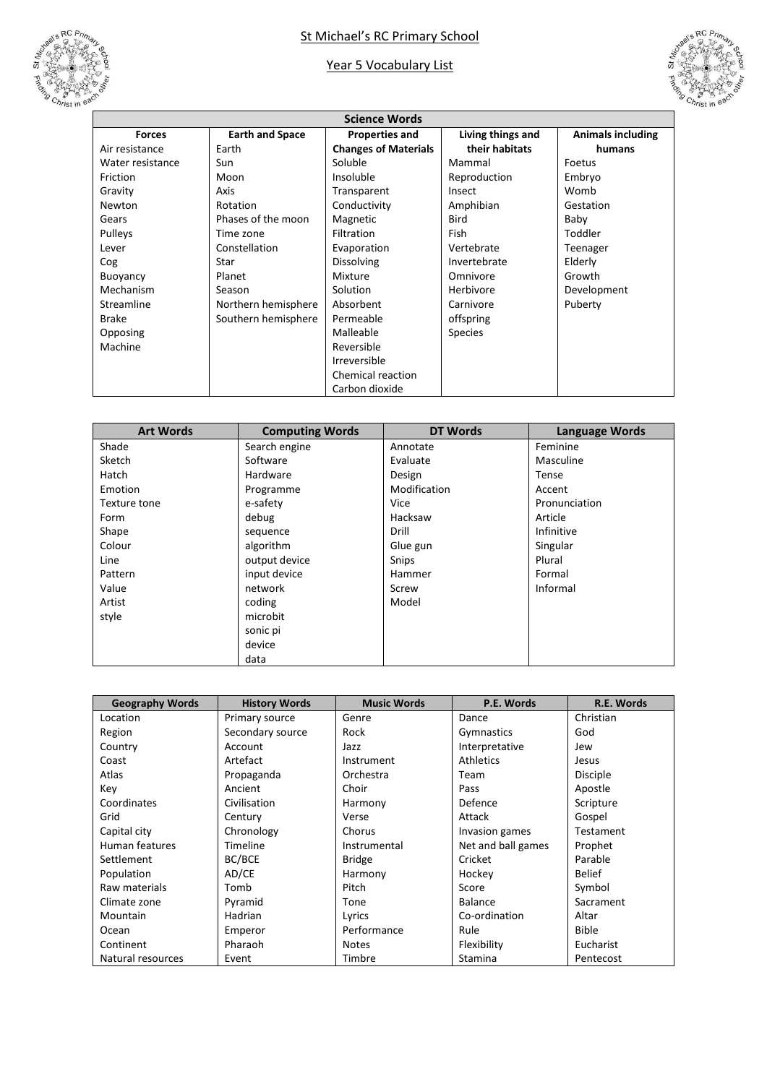

## St Michael's RC Primary School

## Year 5 Vocabulary List



| <b>Science Words</b> |                        |                             |                   |                          |  |
|----------------------|------------------------|-----------------------------|-------------------|--------------------------|--|
| <b>Forces</b>        | <b>Earth and Space</b> | <b>Properties and</b>       | Living things and | <b>Animals including</b> |  |
| Air resistance       | Earth                  | <b>Changes of Materials</b> | their habitats    | humans                   |  |
| Water resistance     | Sun                    | Soluble                     | Mammal            | Foetus                   |  |
| Friction             | Moon                   | Insoluble                   | Reproduction      | Embryo                   |  |
| Gravity              | Axis                   | Transparent                 | Insect            | Womb                     |  |
| Newton               | Rotation               | Conductivity                | Amphibian         | Gestation                |  |
| Gears                | Phases of the moon     | Magnetic                    | Bird              | Baby                     |  |
| Pulleys              | Time zone              | Filtration                  | Fish              | Toddler                  |  |
| Lever                | Constellation          | Evaporation                 | Vertebrate        | Teenager                 |  |
| Cog                  | Star                   | <b>Dissolving</b>           | Invertebrate      | Elderly                  |  |
| Buoyancy             | Planet                 | Mixture                     | Omnivore          | Growth                   |  |
| Mechanism            | Season                 | Solution                    | Herbivore         | Development              |  |
| Streamline           | Northern hemisphere    | Absorbent                   | Carnivore         | Puberty                  |  |
| <b>Brake</b>         | Southern hemisphere    | Permeable                   | offspring         |                          |  |
| Opposing             |                        | Malleable                   | <b>Species</b>    |                          |  |
| Machine              |                        | Reversible                  |                   |                          |  |
|                      |                        | Irreversible                |                   |                          |  |
|                      |                        | <b>Chemical reaction</b>    |                   |                          |  |
|                      |                        | Carbon dioxide              |                   |                          |  |

| <b>Art Words</b> | <b>Computing Words</b> | DT Words     | <b>Language Words</b> |
|------------------|------------------------|--------------|-----------------------|
| Shade            | Search engine          | Annotate     | Feminine              |
| Sketch           | Software               | Evaluate     | Masculine             |
| Hatch            | Hardware               | Design       | Tense                 |
| Emotion          | Programme              | Modification | Accent                |
| Texture tone     | e-safety               | Vice         | Pronunciation         |
| Form             | debug                  | Hacksaw      | Article               |
| Shape            | sequence               | Drill        | Infinitive            |
| Colour           | algorithm              | Glue gun     | Singular              |
| Line             | output device          | Snips        | Plural                |
| Pattern          | input device           | Hammer       | Formal                |
| Value            | network                | Screw        | Informal              |
| Artist           | coding                 | Model        |                       |
| style            | microbit               |              |                       |
|                  | sonic pi               |              |                       |
|                  | device                 |              |                       |
|                  | data                   |              |                       |

| <b>Geography Words</b> | <b>History Words</b> | <b>Music Words</b> | P.E. Words         | R.E. Words      |
|------------------------|----------------------|--------------------|--------------------|-----------------|
| Location               | Primary source       | Genre              | Dance              | Christian       |
| Region                 | Secondary source     | Rock               | Gymnastics         | God             |
| Country                | Account              | Jazz               | Interpretative     | Jew             |
| Coast                  | Artefact             | Instrument         | <b>Athletics</b>   | Jesus           |
| Atlas                  | Propaganda           | Orchestra          | Team               | <b>Disciple</b> |
| Key                    | Ancient              | Choir              | Pass               | Apostle         |
| Coordinates            | Civilisation         | Harmony            | Defence            | Scripture       |
| Grid                   | Century              | Verse              | Attack             | Gospel          |
| Capital city           | Chronology           | Chorus             | Invasion games     | Testament       |
| Human features         | Timeline             | Instrumental       | Net and ball games | Prophet         |
| Settlement             | BC/BCE               | <b>Bridge</b>      | Cricket            | Parable         |
| Population             | AD/CE                | Harmony            | Hockey             | <b>Belief</b>   |
| Raw materials          | Tomb                 | Pitch              | Score              | Symbol          |
| Climate zone           | Pyramid              | Tone               | <b>Balance</b>     | Sacrament       |
| Mountain               | Hadrian              | Lyrics             | Co-ordination      | Altar           |
| Ocean                  | Emperor              | Performance        | Rule               | <b>Bible</b>    |
| Continent              | Pharaoh              | <b>Notes</b>       | Flexibility        | Eucharist       |
| Natural resources      | Event                | Timbre             | Stamina            | Pentecost       |